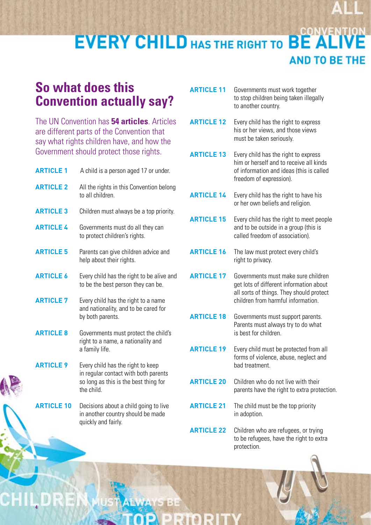## **CONVENT EVERY CHILD HAS THE RIGHT TO BE AND TO BE THE**

## **So what does this Convention actually say?**

The UN Convention has **54 articles**. Articles are different parts of the Convention that say what rights children have, and how the Government should protect those rights.

| <b>ARTICLE 1</b>  | A child is a person aged 17 or under.                                                                                            |
|-------------------|----------------------------------------------------------------------------------------------------------------------------------|
| <b>ARTICLE 2</b>  | All the rights in this Convention belong<br>to all children.                                                                     |
| <b>ARTICLE 3</b>  | Children must always be a top priority.                                                                                          |
| <b>ARTICLE 4</b>  | Governments must do all they can<br>to protect children's rights.                                                                |
| <b>ARTICLE 5</b>  | Parents can give children advice and<br>help about their rights.                                                                 |
| <b>ARTICLE 6</b>  | Every child has the right to be alive and<br>to be the best person they can be.                                                  |
| <b>ARTICLE 7</b>  | Every child has the right to a name<br>and nationality, and to be cared for<br>by both parents.                                  |
| <b>ARTICLE 8</b>  | Governments must protect the child's<br>right to a name, a nationality and<br>a family life.                                     |
| <b>ARTICLE 9</b>  | Every child has the right to keep<br>in regular contact with both parents<br>so long as this is the best thing for<br>the child. |
| <b>ARTICLE 10</b> | Decisions about a child going to live                                                                                            |

**ARTICLE 10** Decisions about a child going to live in another country should be made quickly and fairly.

5155

**4**

 $\mathsf{C}\mathsf{F}$ 

| <b>ARTICLE 11</b> | Governments must work together<br>to stop children being taken illegally<br>to another country.                                                                  |
|-------------------|------------------------------------------------------------------------------------------------------------------------------------------------------------------|
| <b>ARTICLE 12</b> | Every child has the right to express<br>his or her views, and those views<br>must be taken seriously.                                                            |
| <b>ARTICLE 13</b> | Every child has the right to express<br>him or herself and to receive all kinds<br>of information and ideas (this is called<br>freedom of expression).           |
| <b>ARTICLE 14</b> | Every child has the right to have his<br>or her own beliefs and religion.                                                                                        |
| <b>ARTICLE 15</b> | Every child has the right to meet people<br>and to be outside in a group (this is<br>called freedom of association).                                             |
| <b>ARTICLE 16</b> | The law must protect every child's<br>right to privacy.                                                                                                          |
| <b>ARTICLE 17</b> | Governments must make sure children<br>get lots of different information about<br>all sorts of things. They should protect<br>children from harmful information. |
| <b>ARTICLE 18</b> | Governments must support parents.<br>Parents must always try to do what<br>is best for children.                                                                 |
| <b>ARTICLE 19</b> | Every child must be protected from all<br>forms of violence, abuse, neglect and<br>bad treatment.                                                                |
| <b>ARTICLE 20</b> | Children who do not live with their<br>parents have the right to extra protection.                                                                               |
| <b>ARTICLE 21</b> | The child must be the top priority<br>in adoption.                                                                                                               |
| <b>ARTICLE 22</b> | Children who are refugees, or trying<br>to be refugees, have the right to extra                                                                                  |

protection.